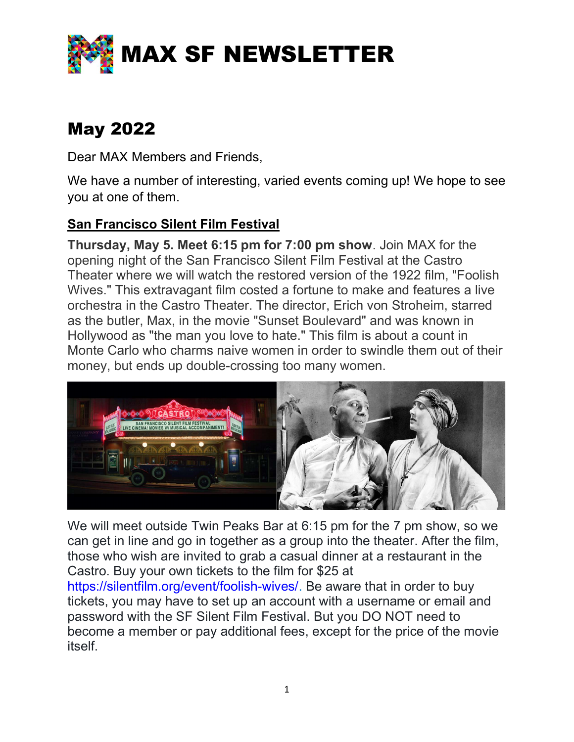

# May 2022

Dear MAX Members and Friends,

We have a number of interesting, varied events coming up! We hope to see you at one of them.

## San Francisco Silent Film Festival

Thursday, May 5. Meet 6:15 pm for 7:00 pm show. Join MAX for the opening night of the San Francisco Silent Film Festival at the Castro Theater where we will watch the restored version of the 1922 film, "Foolish Wives." This extravagant film costed a fortune to make and features a live orchestra in the Castro Theater. The director, Erich von Stroheim, starred as the butler, Max, in the movie "Sunset Boulevard" and was known in Hollywood as "the man you love to hate." This film is about a count in Monte Carlo who charms naive women in order to swindle them out of their money, but ends up double-crossing too many women.



We will meet outside Twin Peaks Bar at 6:15 pm for the 7 pm show, so we can get in line and go in together as a group into the theater. After the film, those who wish are invited to grab a casual dinner at a restaurant in the Castro. Buy your own tickets to the film for \$25 at

https://silentfilm.org/event/foolish-wives/. Be aware that in order to buy tickets, you may have to set up an account with a username or email and password with the SF Silent Film Festival. But you DO NOT need to become a member or pay additional fees, except for the price of the movie itself.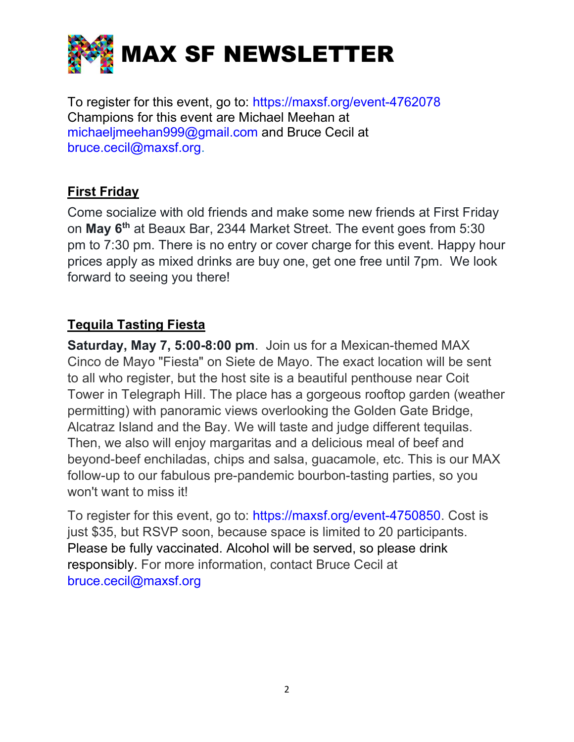

To register for this event, go to: https://maxsf.org/event-4762078 Champions for this event are Michael Meehan at michaeljmeehan999@gmail.com and Bruce Cecil at bruce.cecil@maxsf.org.

## First Friday

Come socialize with old friends and make some new friends at First Friday on May 6th at Beaux Bar, 2344 Market Street. The event goes from 5:30 pm to 7:30 pm. There is no entry or cover charge for this event. Happy hour prices apply as mixed drinks are buy one, get one free until 7pm. We look forward to seeing you there!

## Tequila Tasting Fiesta

Saturday, May 7, 5:00-8:00 pm. Join us for a Mexican-themed MAX Cinco de Mayo "Fiesta" on Siete de Mayo. The exact location will be sent to all who register, but the host site is a beautiful penthouse near Coit Tower in Telegraph Hill. The place has a gorgeous rooftop garden (weather permitting) with panoramic views overlooking the Golden Gate Bridge, Alcatraz Island and the Bay. We will taste and judge different tequilas. Then, we also will enjoy margaritas and a delicious meal of beef and beyond-beef enchiladas, chips and salsa, guacamole, etc. This is our MAX follow-up to our fabulous pre-pandemic bourbon-tasting parties, so you won't want to miss it!

To register for this event, go to: https://maxsf.org/event-4750850. Cost is just \$35, but RSVP soon, because space is limited to 20 participants. Please be fully vaccinated. Alcohol will be served, so please drink responsibly. For more information, contact Bruce Cecil at bruce.cecil@maxsf.org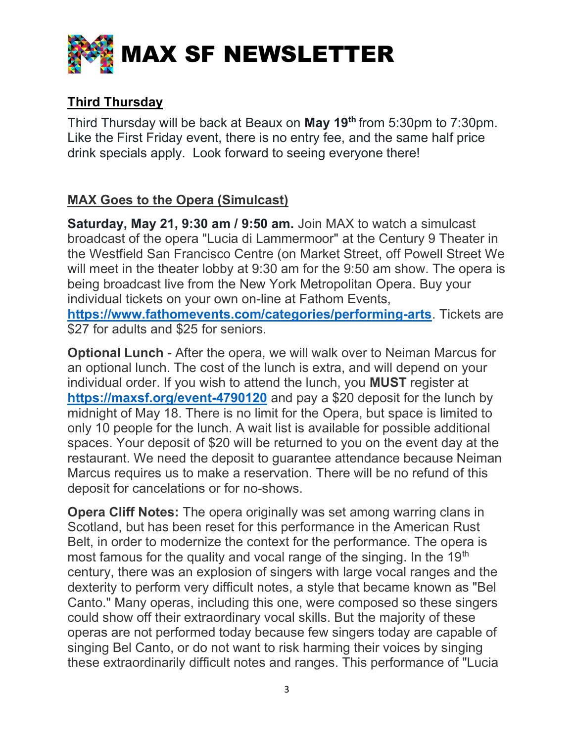

## Third Thursday

Third Thursday will be back at Beaux on May 19<sup>th</sup> from 5:30pm to 7:30pm. Like the First Friday event, there is no entry fee, and the same half price drink specials apply. Look forward to seeing everyone there!

# MAX Goes to the Opera (Simulcast)

Saturday, May 21, 9:30 am / 9:50 am. Join MAX to watch a simulcast broadcast of the opera "Lucia di Lammermoor" at the Century 9 Theater in the Westfield San Francisco Centre (on Market Street, off Powell Street We will meet in the theater lobby at 9:30 am for the 9:50 am show. The opera is being broadcast live from the New York Metropolitan Opera. Buy your individual tickets on your own on-line at Fathom Events, https://www.fathomevents.com/categories/performing-arts. Tickets are \$27 for adults and \$25 for seniors.

Optional Lunch - After the opera, we will walk over to Neiman Marcus for an optional lunch. The cost of the lunch is extra, and will depend on your individual order. If you wish to attend the lunch, you MUST register at https://maxsf.org/event-4790120 and pay a \$20 deposit for the lunch by midnight of May 18. There is no limit for the Opera, but space is limited to only 10 people for the lunch. A wait list is available for possible additional spaces. Your deposit of \$20 will be returned to you on the event day at the restaurant. We need the deposit to guarantee attendance because Neiman Marcus requires us to make a reservation. There will be no refund of this deposit for cancelations or for no-shows.

Opera Cliff Notes: The opera originally was set among warring clans in Scotland, but has been reset for this performance in the American Rust Belt, in order to modernize the context for the performance. The opera is most famous for the quality and vocal range of the singing. In the 19<sup>th</sup> century, there was an explosion of singers with large vocal ranges and the dexterity to perform very difficult notes, a style that became known as "Bel Canto." Many operas, including this one, were composed so these singers could show off their extraordinary vocal skills. But the majority of these operas are not performed today because few singers today are capable of singing Bel Canto, or do not want to risk harming their voices by singing these extraordinarily difficult notes and ranges. This performance of "Lucia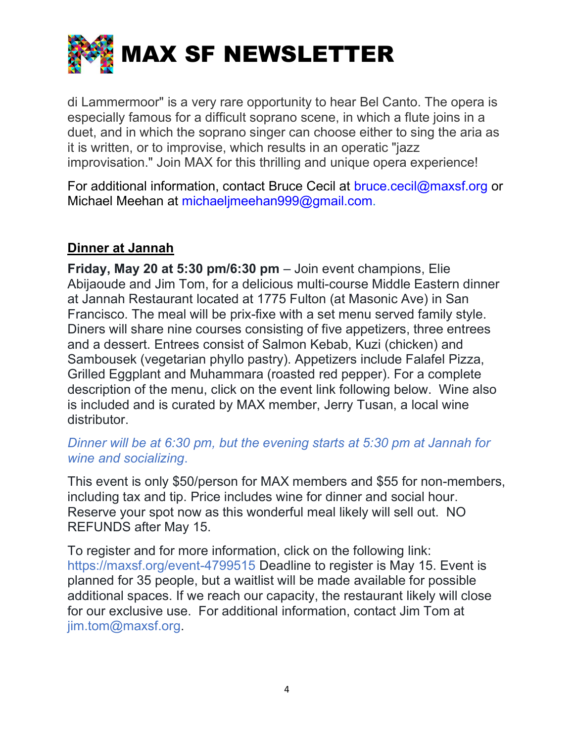

di Lammermoor" is a very rare opportunity to hear Bel Canto. The opera is especially famous for a difficult soprano scene, in which a flute joins in a duet, and in which the soprano singer can choose either to sing the aria as it is written, or to improvise, which results in an operatic "jazz improvisation." Join MAX for this thrilling and unique opera experience!

For additional information, contact Bruce Cecil at bruce.cecil@maxsf.org or Michael Meehan at michaelimeehan999@gmail.com.

#### Dinner at Jannah

Friday, May 20 at 5:30 pm/6:30 pm – Join event champions, Elie Abijaoude and Jim Tom, for a delicious multi-course Middle Eastern dinner at Jannah Restaurant located at 1775 Fulton (at Masonic Ave) in San Francisco. The meal will be prix-fixe with a set menu served family style. Diners will share nine courses consisting of five appetizers, three entrees and a dessert. Entrees consist of Salmon Kebab, Kuzi (chicken) and Sambousek (vegetarian phyllo pastry). Appetizers include Falafel Pizza, Grilled Eggplant and Muhammara (roasted red pepper). For a complete description of the menu, click on the event link following below. Wine also is included and is curated by MAX member, Jerry Tusan, a local wine distributor.

#### Dinner will be at 6:30 pm, but the evening starts at 5:30 pm at Jannah for wine and socializing.

This event is only \$50/person for MAX members and \$55 for non-members, including tax and tip. Price includes wine for dinner and social hour. Reserve your spot now as this wonderful meal likely will sell out. NO REFUNDS after May 15.

To register and for more information, click on the following link: https://maxsf.org/event-4799515 Deadline to register is May 15. Event is planned for 35 people, but a waitlist will be made available for possible additional spaces. If we reach our capacity, the restaurant likely will close for our exclusive use. For additional information, contact Jim Tom at jim.tom@maxsf.org.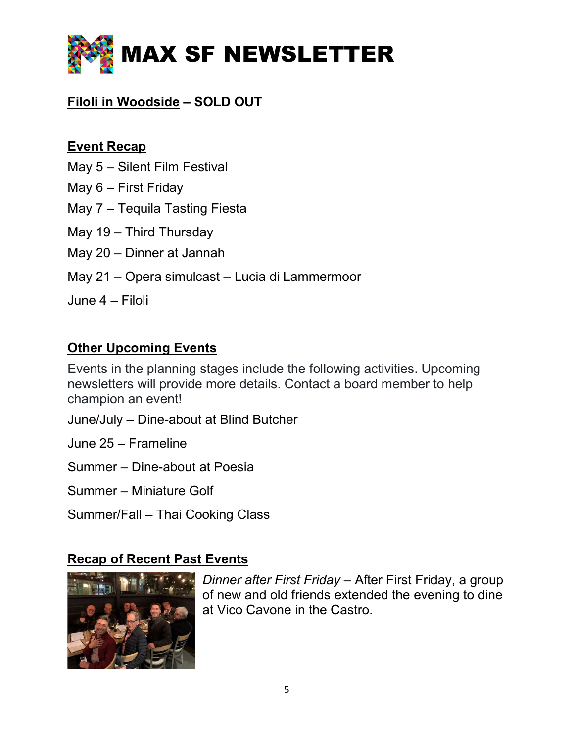

# Filoli in Woodside – SOLD OUT

### Event Recap

- May 5 Silent Film Festival
- May 6 First Friday
- May 7 Tequila Tasting Fiesta
- May 19 Third Thursday
- May 20 Dinner at Jannah
- May 21 Opera simulcast Lucia di Lammermoor
- June 4 Filoli

#### Other Upcoming Events

Events in the planning stages include the following activities. Upcoming newsletters will provide more details. Contact a board member to help champion an event!

- June/July Dine-about at Blind Butcher
- June 25 Frameline
- Summer Dine-about at Poesia
- Summer Miniature Golf
- Summer/Fall Thai Cooking Class

## Recap of Recent Past Events



Dinner after First Friday – After First Friday, a group of new and old friends extended the evening to dine at Vico Cavone in the Castro.